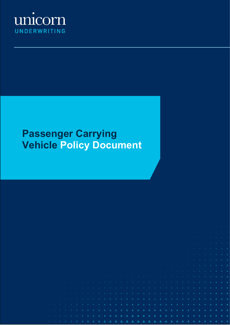

# **Passenger Carrying Vehicle Policy Document**

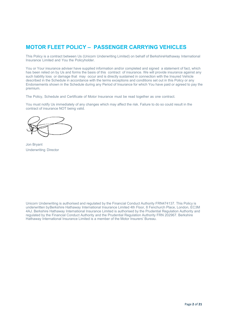# **MOTOR FLEET POLICY – PASSENGER CARRYING VEHICLES**

This Policy is a contract between Us (Unicorn Underwriting Limited) on behalf of BerkshireHathaway International Insurance Limited and You the Policyholder.

You or Your insurance adviser have supplied information and/or completed and signed a statement of fact, which has been relied on by Us and forms the basis of this contract of insurance. We will provide insurance against any such liability loss or damage that may occur and is directly sustained in connection with the Insured Vehicle described in the Schedule in accordance with the terms exceptions and conditions set out in this Policy or any Endorsements shown in the Schedule during any Period of Insurance for which You have paid or agreed to pay the premium.

The Policy, Schedule and Certificate of Motor Insurance must be read together as one contract.

You must notify Us immediately of any changes which may affect the risk. Failure to do so could result in the contract of insurance NOT being valid.

Jon Bryant Underwriting Director

Unicorn Underwriting is authorised and regulated by the Financial Conduct Authority FRN474137. This Policy is underwritten byBerkshire Hathaway International Insurance Limited 4th Floor, 8 Fenchurch Place, London, EC3M 4AJ. Berkshire Hathaway International Insurance Limited is authorised by the Prudential Regulation Authority and regulated by the Financial Conduct Authority and the Prudential Regulation Authority FRN 202967. Berkshire Hathaway International Insurance Limited is a member of the Motor Insurers' Bureau.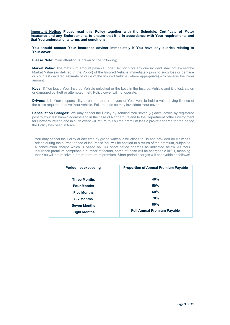**Important Notice: Please read this Policy together with the Schedule, Certificate of Motor Insurance and any Endorsements to ensure that it is in accordance with Your requirements and that You understand its terms and conditions.**

**You should contact Your insurance adviser immediately if You have any queries relating to Your cover.**

**Please Note:** Your attention is drawn to the following;

**Market Value:** The maximum amount payable under Section 2 for any one incident shall not exceed the Market Value (as defined in the Policy) of the Insured Vehicle immediately prior to such loss or damage or Your last declared estimate of value of the Insured Vehicle (where appropriate) whichever is the lower amount.

**Keys:** If You leave Your Insured Vehicle unlocked or the keys in the Insured Vehicle and it is lost, stolen or damaged by theft or attempted theft, Policy cover will not operate.

**Drivers:** It is Your responsibility to ensure that all drivers of Your vehicle hold a valid driving licence of the class required to drive Your vehicle. Failure to do so may invalidate Your cover.

**Cancellation Charges:** We may cancel the Policy by sending You seven (7) days' notice by registered post to Your last known address and in the case of Northern Ireland to the Department ofthe Environment for Northern Ireland and in such event will return to You the premium less a pro-rata charge for the period the Policy has been in force.

You may cancel the Policy at any time by giving written instructions to Us and provided no claim has arisen during the current period of insurance You will be entitled to a return of the premium, subject to a cancellation charge which is based on Our short period charges as indicated below. As Your insurance premium comprises a number of factors, some of these will be chargeable in full, meaning that You will not receive a pro rata return of premium. Short period charges will bepayable as follows:

| <b>Period not exceeding</b> | <b>Proportion of Annual Premium Payable</b> |
|-----------------------------|---------------------------------------------|
|                             |                                             |
| <b>Three Months</b>         | 40%                                         |
| <b>Four Months</b>          | 50%                                         |
| <b>Five Months</b>          | 60%                                         |
| <b>Six Months</b>           | <b>70%</b>                                  |
| <b>Seven Months</b>         | 80%                                         |
| <b>Eight Months</b>         | <b>Full Annual Premium Payable</b>          |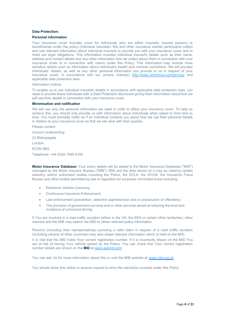### **Data Protection:**

### **Personal information**

Your insurance cover includes cover for individuals who are either insureds, insured persons or beneficiaries under the policy (individual insureds). We and other insurance market participants collect and use relevant information about individual insureds to provide you with your insurance cover and to meet our legal obligations. This information includes individual insured's details such as their name, address and contact details and any other information that we collect about them in connection with your insurance cover or in connection with claims under this Policy. This information may include more sensitive details such as information about individual's health and criminal convictions. We will process individuals' details, as well as any other personal information you provide to us in respect of your insurance cover, in accordance with our privacy notice(s) <http://www.unicornuw.com/privacy> and applicable data protection laws.

#### Information notices

To enable us to use individual insureds' details in accordance with applicable data protection laws, you need to provide those individuals with a Data Protection disclosure giving them information about how we will use their details in connection with your insurance cover.

#### **Minimisation and notification**

We will use only the personal information we need in order to effect your insurance cover. To help us achieve this, you should only provide us with information about individuals when asked to from time to time. You must promptly notify us if an individual contacts you about how we use their personal details in relation to your insurance cover so that we can deal with their queries.

Please contact:

Unicorn Underwriting

22 Bishopsgate

London

EC2N 4BQ

Telephone: +44 (0)20 7469 0100

**Motor Insurance Database:** Your policy details will be added to the Motor Insurance Database ("MID") managed by the Motor Insurers' Bureau ("MIB"). MID and the data stored on it may be Used by certain statutory and/or authorised bodies including the Police, the DVLA, the DVLNI, the Insurance Fraud Bureau and other bodies permitted by law or regulation for purposes not limited to,but including:

- Electronic Vehicle Licensing;
- Continuous Insurance Enforcement;
- Law enforcement (prevention, detection apprehension and or prosecution of offenders);
- The provision of government services and or other services aimed at reducing the level and incidence of uninsured driving.

If You are involved in a road traffic accident (either in the UK, the EEA or certain other territories), other insurers and the MIB may search the MID to obtain relevant policy information.

Persons (including their representatives) pursuing a valid claim in respect of a road traffic accident (including citizens of other countries) may also obtain relevant information which is held on the MID.

It is vital that the MID holds Your correct registration number. If it is incorrectly shown on the MID You are at risk of having Your vehicle seized by the Police. You can check that Your correct registration number details are shown on the **MID** at [www.askmid.com.](http://www.askmid.com/)

You can ask Us for more information about this or visit the MIB website at [www.mib.org.uk.](http://www.mib.org.uk/)

You should show this notice to anyone insured to drive the vehicle(s) covered under this Policy.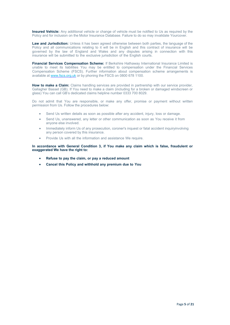**Insured Vehicle:** Any additional vehicle or change of vehicle must be notified to Us as required by the Policy and for inclusion on the Motor Insurance Database. Failure to do so may invalidate Yourcover.

**Law and Jurisdiction:** Unless it has been agreed otherwise between both parties, the language of the Policy and all communications relating to it will be in English and this contract of insurance will be governed by the law of England and Wales and any disputes arising in connection with this insurance will be submitted to the exclusive jurisdiction of the English courts.

**Financial Services Compensation Scheme:** If Berkshire Hathaway International Insurance Limited is unable to meet its liabilities You may be entitled to compensation under the Financial Services Compensation Scheme (FSCS). Further information about compensation scheme arrangements is available at [www.fscs.org.uk](http://www.fscs.org.uk/) or by phoning the FSCS on 0800 678 1100.

**How to make a Claim:** Claims handling services are provided in partnership with our service provider, Gallagher Basset (GB). If You need to make a claim (including for a broken or damaged windscreen or glass) You can call GB's dedicated claims helpline number 0333 700 8029.

Do not admit that You are responsible, or make any offer, promise or payment without written permission from Us. Follow the procedures below:

- Send Us written details as soon as possible after any accident, injury, loss or damage.
- Send Us, unanswered, any letter or other communication as soon as You receive it from anyone else involved.
- Immediately inform Us of any prosecution, coroner's inquest or fatal accident inquiryinvolving any person covered by this insurance.
- Provide Us with all the information and assistance We require.

**In accordance with General Condition 3, if You make any claim which is false, fraudulent or exaggerated We have the right to:**

- **Refuse to pay the claim, or pay a reduced amount**
- **Cancel this Policy and withhold any premium due to You**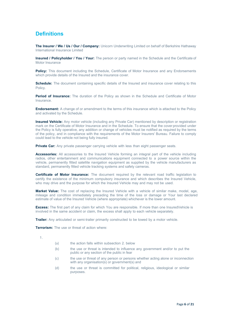# **Definitions**

**The Insurer / We / Us / Our / Company:** Unicorn Underwriting Limited on behalf of Berkshire Hathaway International Insurance Limited

**Insured / Policyholder / You / Your:** The person or party named in the Schedule and the Certificate of Motor Insurance

**Policy:** This document including the Schedule, Certificate of Motor Insurance and any Endorsements which provide details of the Insured and the insurance cover.

**Schedule:** The document containing specific details of the Insured and insurance cover relating to this Policy.

**Period of Insurance:** The duration of the Policy as shown in the Schedule and Certificate of Motor **Insurance** 

**Endorsement:** A change of or amendment to the terms of this insurance which is attached to the Policy and activated by the Schedule.

**Insured Vehicle:** Any motor vehicle (including any Private Car) mentioned by description or registration mark on the Certificate of Motor Insurance and in the Schedule. To ensure that the cover provided under the Policy is fully operative, any addition or change of vehicles must be notified as required by the terms of the policy, and in compliance with the requirements of the Motor Insurers' Bureau. Failure to comply could lead to the vehicle not being fully insured.

**Private Car:** Any private passenger carrying vehicle with less than eight passenger seats.

**Accessories:** All accessories to the Insured Vehicle forming an integral part of the vehicle including radios, other entertainment and communications equipment connected to a power source within the vehicle, permanently fitted satellite navigation equipment as supplied by the vehicle manufacturers as standard, permanently fitted vehicle tracking systems and safety cameras.

**Certificate of Motor Insurance:** The document required by the relevant road traffic legislation to certify the existence of the minimum compulsory insurance and which describes the Insured Vehicle, who may drive and the purpose for which the Insured Vehicle may and may not be used.

**Market Value:** The cost of replacing the Insured Vehicle with a vehicle of similar make, model, age, mileage and condition immediately preceding the time of the loss or damage or Your last declared estimate of value of the Insured Vehicle (where appropriate) whichever is the lower amount.

**Excess:** The first part of any claim for which You are responsible. If more than one InsuredVehicle is involved in the same accident or claim, the excess shall apply to each vehicle separately.

**Trailer:** Any articulated or semi-trailer primarily constructed to be towed by a motor vehicle.

**Terrorism:** The use or threat of action where:

1.

- (a) the action falls within subsection 2. below
- (b) the use or threat is intended to influence any government and/or to put the public or any section of the public in fear
- (c) the use or threat of any person or persons whether acting alone or inconnection with any organisation(s) or government(s) and
- (d) the use or threat is committed for political, religious, ideological or similar purposes.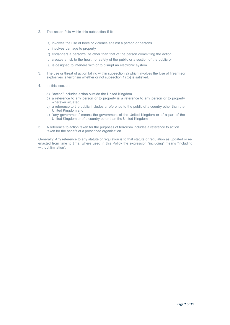- 2. The action falls within this subsection if it:
	- (a) involves the use of force or violence against a person or persons
	- (b) involves damage to property
	- (c) endangers a person's life other than that of the person committing the action
	- (d) creates a risk to the health or safety of the public or a section of the public or
	- (e) is designed to interfere with or to disrupt an electronic system.
- 3. The use or threat of action falling within subsection 2) which involves the Use of firearmsor explosives is terrorism whether or not subsection 1) (b) is satisfied.
- 4. In this section:
	- a) "action" includes action outside the United Kingdom
	- b) a reference to any person or to property is a reference to any person or to property wherever situated
	- c) a reference to the public includes a reference to the public of a country other than the United Kingdom and
	- d) "any government" means the government of the United Kingdom or of a part of the United Kingdom or of a country other than the United Kingdom
- 5. A reference to action taken for the purposes of terrorism includes a reference to action taken for the benefit of a proscribed organisation.

Generally: Any reference to any statute or regulation is to that statute or regulation as updated or reenacted from time to time; where used in this Policy the expression "including" means "including without limitation".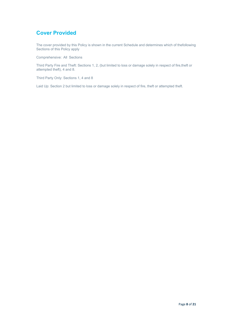# **Cover Provided**

The cover provided by this Policy is shown in the current Schedule and determines which of thefollowing Sections of this Policy apply

Comprehensive: All Sections

Third Party Fire and Theft: Sections 1, 2, (but limited to loss or damage solely in respect of fire,theft or attempted theft), 4 and 8.

Third Party Only: Sections 1, 4 and 8

Laid Up: Section 2 but limited to loss or damage solely in respect of fire, theft or attempted theft.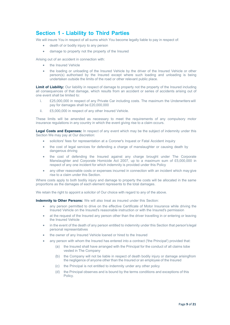### **Section 1 - Liability to Third Parties**

We will insure You in respect of all sums which You become legally liable to pay in respect of:

- death of or bodily injury to any person
- damage to property not the property of the Insured

Arising out of an accident in connection with:

- the Insured Vehicle
- the loading or unloading of the Insured Vehicle by the driver of the Insured Vehicle or other person(s) authorised by the Insured except where such loading and unloading is being undertaken outside the limits of the road or other relevant public place.

**Limit of Liability:** Our liability in respect of damage to property not the property of the Insured including all consequences of that damage, which results from an accident or series of accidents arising out of one event shall be limited to:

- i. £25,000,000 in respect of any Private Car including costs. The maximum the Underwriters will pay for damages shall be £20,000,000
- ii. £5,000,000 in respect of any other Insured Vehicle.

These limits will be amended as necessary to meet the requirements of any compulsory motor insurance regulations in any country in which the event giving rise to a claim occurs.

**Legal Costs and Expenses:** In respect of any event which may be the subject of indemnity under this Section We may pay at Our discretion:

- solicitors' fees for representation at a Coroner's Inquest or Fatal Accident inquiry
- the cost of legal services for defending a charge of manslaughter or causing death by dangerous driving
- the cost of defending the Insured against any charge brought under The Corporate Manslaughter and Corporate Homicide Act 2007, up to a maximum sum of £5,000,000 in respect of any one incident for which indemnity is provided under this Policy
- any other reasonable costs or expenses incurred in connection with an incident which may give rise to a claim under this Section.

Where costs apply to both bodily injury and damage to property the costs will be allocated in the same proportions as the damages of each element represents to the total damages.

We retain the right to appoint a solicitor of Our choice with regard to any of the above.

**Indemnity to Other Persons:** We will also treat as insured under this Section:

- any person permitted to drive on the effective Certificate of Motor Insurance while driving the Insured Vehicle on the Insured's reasonable instruction or with the Insured's permission
- at the request of the Insured any person other than the driver travelling in or entering or leaving the Insured Vehicle
- in the event of the death of any person entitled to indemnity under this Section that person's legal personal representatives
- the owner of any Insured Vehicle loaned or hired to the Insured
- any person with whom the Insured has entered into a contract ('the Principal') provided that:
	- (a) the Insured shall have arranged with the Principal for the conduct of all claims tobe vested in The Company
	- (b) the Company will not be liable in respect of death bodily injury or damage arisingfrom the negligence of anyone other than the Insured or an employee of the Insured
	- (c) the Principal is not entitled to indemnity under any other policy
	- (d) the Principal observes and is bound by the terms conditions and exceptions of this Policy.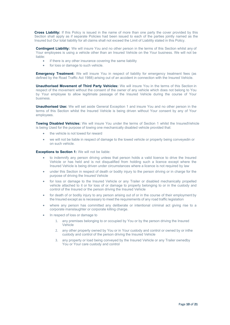**Cross Liability:** If this Policy is issued in the name of more than one party the cover provided by this Section shall apply as if separate Policies had been issued to each of the parties jointly named as the Insured but Our total liability for all claims shall not exceed the Limit of Liability stated in this Policy.

**Contingent Liability:** We will insure You and no other person in the terms of this Section whilst any of Your employees is using a vehicle other than an Insured Vehicle on the Your business. We will not be liable:

- if there is any other insurance covering the same liability
- for loss or damage to such vehicle.

**Emergency Treatment:** We will insure You in respect of liability for emergency treatment fees (as defined by the Road Traffic Act 1988) arising out of an accident in connection with the Insured Vehicle.

**Unauthorised Movement of Third Party Vehicles:** We will insure You in the terms of this Section in respect of the movement without the consent of the owner of any vehicle which does not belong to You by Your employee to allow legitimate passage of the Insured Vehicle during the course of Your business.

**Unauthorised Use:** We will set aside General Exception 1 and insure You and no other person in the terms of this Section whilst the Insured Vehicle is being driven without Your consent by any of Your employees.

**Towing Disabled Vehicles:** We will insure You under the terms of Section 1 whilst the InsuredVehicle is being Used for the purpose of towing one mechanically disabled vehicle provided that:

- the vehicle is not towed for reward
- we will not be liable in respect of damage to the towed vehicle or property being conveyedin or on such vehicle.

**Exceptions to Section 1:** We will not be liable:

- to indemnify any person driving unless that person holds a valid licence to drive the Insured Vehicle or has held and is not disqualified from holding such a licence except where the Insured Vehicle is being driven under circumstances where a licence is not required by law
- under this Section in respect of death or bodily injury to the person driving or in charge for the purpose of driving the Insured Vehicle
- for loss or damage to the Insured Vehicle or any Trailer or disabled mechanically propelled vehicle attached to it or for loss of or damage to property belonging to or in the custody and control of the Insured or the person driving the Insured Vehicle
- for death of or bodily injury to any person arising out of or in the course of their employment by the Insured except as is necessary to meet the requirements of any road traffic legislation
- where any person has committed any deliberate or intentional criminal act giving rise to a corporate manslaughter or corporate killing charge.
- In respect of loss or damage to
	- 1. any premises belonging to or occupied by You or by the person driving the Insured Vehicle
	- 2. any other property owned by You or in Your custody and control or owned by or inthe custody and control of the person driving the Insured Vehicle
	- 3. any property or load being conveyed by the Insured Vehicle or any Trailer ownedby You or Your care custody and control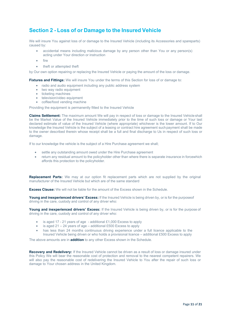# **Section 2 - Loss of or Damage to the Insured Vehicle**

We will insure You against loss of or damage to the Insured Vehicle (including its Accessories and spareparts) caused by:

- accidental means including malicious damage by any person other than You or any person(s) acting under Your direction or instruction
- fire
- theft or attempted theft

by Our own option repairing or replacing the Insured Vehicle or paying the amount of the loss or damage.

**Fixtures and Fittings:** We will insure You under the terms of this Section for loss of or damage to:

- radio and audio equipment including any public address system
- two way radio equipment
- ticketing machines
- television/video equipment
- coffee/food vending machine

Providing the equipment is permanently fitted to the Insured Vehicle

**Claims Settlement:** The maximum amount We will pay in respect of loss or damage to the Insured Vehicle shall be the Market Value of the Insured Vehicle immediately prior to the time of such loss or damage or Your last declared estimate of value of the Insured Vehicle (where appropriate) whichever is the lower amount. If to Our knowledge the Insured Vehicle is the subject of a leasing or contract hire agreement suchpayment shall be made to the owner described therein whose receipt shall be a full and final discharge to Us in respect of such loss or damage.

If to our knowledge the vehicle is the subject of a Hire Purchase agreement we shall;

- settle any outstanding amount owed under the Hire Purchase agreement
- return any residual amount to the policyholder other than where there is separate insurance in forcewhich affords this protection to the policyholder.

**Replacement Parts:** We may at our option fit replacement parts which are not supplied by the original manufacturer of the Insured Vehicle but which are of the same standard

**Excess Clause:** We will not be liable for the amount of the Excess shown in the Schedule.

**Young and inexperienced drivers' Excess:** If the Insured Vehicle is being driven by, or is for the purposeof driving in the care, custody and control of any driver who:

**Young and inexperienced drivers' Excess:** If the Insured Vehicle is being driven by, or is for the purpose of driving in the care, custody and control of any driver who:

- is aged 17 21 years of age additional £1,000 Excess to apply
- is aged  $21 24$  years of age additional £500 Excess to apply
- has less than 24 months continuous driving experience under a full licence applicable to the Insured Vehicle being driven or who holds a provisional licence – additional £500 Excess to apply

The above amounts are in **addition** to any other Excess shown in the Schedule.

**Recovery and Redelivery:** If the Insured Vehicle cannot be driven as a result of loss or damage insured under this Policy We will bear the reasonable cost of protection and removal to the nearest competent repairers. We will also pay the reasonable cost of redelivering the Insured Vehicle to You after the repair of such loss or damage to Your chosen address in the United Kingdom.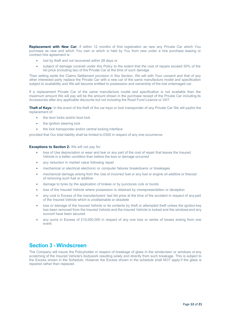**Replacement with New Car:** If within 12 months of first registration as new any Private Car which You purchase as new and which You own or which is held by You from new under a hire purchase leasing or contract hire agreement is:

- lost by theft and not recovered within 28 days or
- subject of damage covered under this Policy to the extent that the cost of repairs exceed 50% of the list price (including tax) of the Private Car at the time of such damage

Then setting aside the Claims Settlement provision in this Section, We will with Your consent and that of any other interested party replace the Private Car with a new car of the same manufacture model and specification subject to availability and We will become entitled to possession and ownership of the lost ordamaged car.

If a replacement Private Car of the same manufacture model and specification is not available then the maximum amount We will pay will be the amount shown in the purchase receipt of the Private Car including its Accessories after any applicable discounts but not including the Road Fund Licence or VAT.

**Theft of Keys:** In the event of the theft of the car keys or lock transponder of any Private Car We will payfor the replacement of:

- the door locks and/or boot lock
- the ignition steering lock
- the lock transponder and/or central locking interface

provided that Our total liability shall be limited to £500 in respect of any one occurrence.

**Exceptions to Section 2:** We will not pay for:

- loss of Use depreciation or wear and tear or any part of the cost of repair that leaves the Insured Vehicle in a better condition than before the loss or damage occurred
- any reduction in market value following repair
- mechanical or electrical electronic or computer failures breakdowns or breakages
- mechanical damage arising from the Use of incorrect fuel or any fuel or engine oil additive or thecost of removing such fuel or additive
- damage to tyres by the application of brakes or by punctures cuts or bursts
- loss of the Insured Vehicle where possession is obtained by misrepresentation or deception
- any cost in Excess of the manufacturers' last list price at the time of the accident in respect of any part of the Insured Vehicle which is unobtainable or obsolete
- loss or damage of the Insured Vehicle or its contents by theft or attempted theft unless the ignition key has been removed from the Insured Vehicle and the Insured Vehicle is locked and the windows and any sunroof have been secured
- any sums in Excess of £10,000,000 in respect of any one loss or series of losses arising from one event.

### **Section 3 - Windscreen**

The Company will insure the Policyholder in respect of breakage of glass in the windscreen or windows or any scratching of the Insured Vehicle's bodywork resulting solely and directly from such breakage. This is subject to the Excess shown in the Schedule. However the Excess shown in the schedule shall NOT apply if the glass is repaired rather than replaced.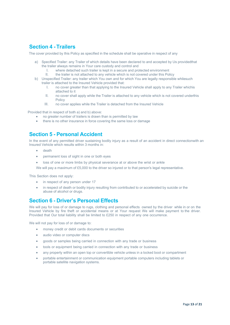# **Section 4 - Trailers**

The cover provided by this Policy as specified in the schedule shall be operative in respect of any

- a) Specified Trailer: any Trailer of which details have been declared to and accepted by Us providedthat the trailer always remains in Your care custody and control and
	- I. where detached such trailer is kept in a secure and protected environment II. the trailer is not attached to any vehicle which is not covered under this Pol
	- the trailer is not attached to any vehicle which is not covered under this Policy
- b) Unspecified Trailer: any trailer which You own and for which You are legally responsible whilesuch trailer is attached to the Insured Vehicle provided that:
	- I. no cover greater than that applying to the Insured Vehicle shall apply to any Trailer whichis attached to it
	- II. no cover shall apply while the Trailer is attached to any vehicle which is not covered underthis Policy
	- III. no cover applies while the Trailer is detached from the Insured Vehicle

Provided that in respect of both a) and b) above:

- no greater number of trailers is drawn than is permitted by law
- there is no other insurance in force covering the same loss or damage

### **Section 5 - Personal Accident**

In the event of any permitted driver sustaining bodily injury as a result of an accident in direct connectionwith an Insured Vehicle which results within 3 months in:

- death
- permanent loss of sight in one or both eyes
- loss of one or more limbs by physical severance at or above the wrist or ankle

We will pay a maximum of £5,000 to the driver so injured or to that person's legal representative.

This Section does not apply:

- in respect of any person under 17
- in respect of death or bodily injury resulting from contributed to or accelerated by suicide or the abuse of alcohol or drugs.

### **Section 6 - Driver's Personal Effects**

We will pay for loss of or damage to rugs, clothing and personal effects owned by the driver while in or on the Insured Vehicle by fire theft or accidental means or at Your request We will make payment to the driver. Provided that Our total liability shall be limited to £250 in respect of any one occurrence.

We will not pay for loss of or damage to:

- money credit or debit cards documents or securities
- audio video or computer discs
- goods or samples being carried in connection with any trade or business
- tools or equipment being carried in connection with any trade or business
- any property within an open top or convertible vehicle unless in a locked boot or compartment
- portable entertainment or communication equipment portable computers including tablets or portable satellite navigation systems.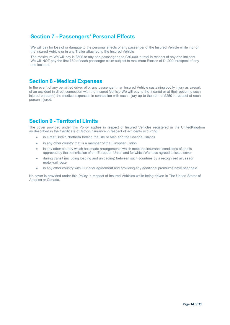# **Section 7 - Passengers' Personal Effects**

We will pay for loss of or damage to the personal effects of any passenger of the Insured Vehicle while inor on the Insured Vehicle or in any Trailer attached to the Insured Vehicle

The maximum We will pay is £500 to any one passenger and £30,000 in total in respect of any one incident. We will NOT pay the first £50 of each passenger claim subject to maximum Excess of £1,000 inrespect of any one incident.

### **Section 8 - Medical Expenses**

In the event of any permitted driver of or any passenger in an Insured Vehicle sustaining bodily injury as a result of an accident in direct connection with the Insured Vehicle We will pay to the Insured or at their option to such injured person(s) the medical expenses in connection with such injury up to the sum of £250 in respect of each person injured.

# **Section 9 - Territorial Limits**

The cover provided under this Policy applies in respect of Insured Vehicles registered in the UnitedKingdom as described in the Certificate of Motor Insurance in respect of accidents occurring:

- in Great Britain Northern Ireland the Isle of Man and the Channel Islands
- in any other country that is a member of the European Union
- in any other country which has made arrangements which meet the insurance conditions of and is approved by the commission of the European Union and for which We have agreed to issue cover
- during transit (including loading and unloading) between such countries by a recognised air, seaor motor-rail route
- in any other country with Our prior agreement and providing any additional premiums have beenpaid.

No cover is provided under this Policy in respect of Insured Vehicles while being driven in The United States of America or Canada.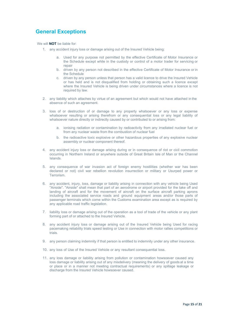# **General Exceptions**

We will **NOT** be liable for:

- 1. any accident injury loss or damage arising out of the Insured Vehicle being:
	- a. Used for any purpose not permitted by the effective Certificate of Motor Insurance or the Schedule except while in the custody or control of a motor trader for servicing or repair
	- b. driven by any person not described in the effective Certificate of Motor Insurance or in the Schedule
	- c. driven by any person unless that person has a valid licence to drive the Insured Vehicle or has held and is not disqualified from holding or obtaining such a licence except where the Insured Vehicle is being driven under circumstances where a licence is not required by law.
- 2. any liability which attaches by virtue of an agreement but which would not have attached in the absence of such an agreement.
- loss of or destruction of or damage to any property whatsoever or any loss or expense whatsoever resulting or arising therefrom or any consequential loss or any legal liability of whatsoever nature directly or indirectly caused by or contributed to or arising from:
	- a. ionising radiation or contamination by radioactivity from any irradiated nuclear fuel or from any nuclear waste from the combustion of nuclear fuel
	- b. the radioactive toxic explosive or other hazardous properties of any explosive nuclear assembly or nuclear component thereof.
- 4. any accident injury loss or damage arising during or in consequence of riot or civil commotion occurring in Northern Ireland or anywhere outside of Great Britain Isle of Man or the Channel Islands.
- 5. any consequence of war invasion act of foreign enemy hostilities (whether war has been declared or not) civil war rebellion revolution insurrection or military or Usurped power or Terrorism.
- 6. any accident, injury, loss, damage or liability arising in connection with any vehicle being Used "Airside". "Airside" shall mean that part of an aerodrome or airport provided for the take off and landing of aircraft and for the movement of aircraft on the surface aircraft parking aprons including the associated service roads and ground equipment areas and/or those parts of passenger terminals which come within the Customs examination area except as is required by any applicable road traffic legislation.
- 7. liability loss or damage arising out of the operation as a tool of trade of the vehicle or any plant forming part of or attached to the Insured Vehicle.
- 8. any accident injury loss or damage arising out of the Insured Vehicle being Used for racing pacemaking reliability trials speed testing or Use in connection with motor rallies competitions or trials.
- 9. any person claiming indemnity if that person is entitled to indemnity under any other insurance.
- 10. any loss of Use of the Insured Vehicle or any resultant consequential loss.
- 11. any loss damage or liability arising from pollution or contamination howsoever caused any loss damage or liability arising out of any misdelivery (meaning the delivery of goods at a time or place or in a manner not meeting contractual requirements) or any spillage leakage or discharge from the Insured Vehicle howsoever caused.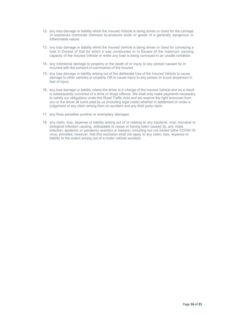- 12. any loss damage or liability whilst the Insured Vehicle is being driven or Used for the carriage of explosives chemicals chemical by-products acids or goods of a generally dangerous or inflammable nature.
- 13. any loss damage or liability whilst the Insured Vehicle is being driven or Used for conveying a load in Excess of that for which it was constructed or in Excess of the maximum carrying capacity of the Insured Vehicle or while any load is being conveyed in an unsafe condition.
- 14. any intentional damage to property or the death of or injury to any person caused by or incurred with the consent or connivance of the Insured
- 15. any loss damage or liability arising out of the deliberate Use of the Insured Vehicle to cause damage to other vehicles or property OR to cause injury to any person or to put anyperson in fear of injury
- 16. any loss damage or liability where the driver is in charge of the Insured Vehicle and as a result is subsequently convicted of a drink or drugs offence. We shall only make payments necessary to satisfy our obligations under the Road Traffic Acts and we reserve the right torecover from you or the driver all sums paid by us (including legal costs) whether in settlement or under a judgement of any claim arising from an accident and any third party claim.
- 17. any fines penalties punitive or exemplary damages
- 18. any claim, loss, expense or liability arising out of or relating to any bacterial, viral, microbial or biological infection causing, anticipated to cause or having been caused by, any mass infection, epidemic or pandemic event(s) or loss(es), including but not limited tothe COVID-19 virus; provided, however, that this exclusion shall not apply to any claim, loss, expense or liability to the extent arising out of a motor vehicle accident.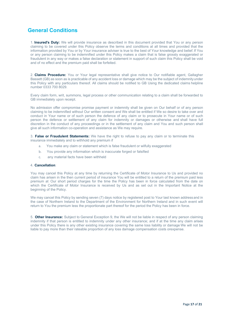# **General Conditions**

1. **Insured's Duty:** We will provide insurance as described in this document provided that You or any person claiming to be covered under this Policy observe the terms and conditions at all times and provided that the information provided by You or by Your insurance adviser is true to the best of Your knowledge and belief. If You or any person claiming to be indemnified under this Policy makes a claim that is false grossly exaggerated or fraudulent in any way or makes a false declaration or statement in support of such claim this Policy shall be void and of no effect and the premium paid shall be forfeited.

2. **Claims Procedure:** You or Your legal representative shall give notice to Our notifiable agent, Gallagher Bassett (GB) as soon as is practicable of any accident loss or damage which may be the subject of indemnityunder this Policy with any particulars thereof. All claims should be notified to GB Using the dedicated claims helpline number 0333 700 8029.

Every claim form, writ, summons, legal process or other communication relating to a claim shall be forwarded to GB immediately upon receipt.

No admission offer compromise promise payment or indemnity shall be given on Our behalf or of any person claiming to be indemnified without Our written consent and We shall be entitled if We so desire to take over and conduct in Your name or of such person the defence of any claim or to prosecute in Your name or of such person the defence or settlement of any claim for indemnity or damages or otherwise and shall have full discretion in the conduct of any proceedings or in the settlement of any claim and You and such person shall give all such information co-operation and assistance as We may require.

3. **False or Fraudulent Statements:** We have the right to refuse to pay any claim or to terminate this insurance immediately and to withhold any premium if

- a. You make any claim or statement which is false fraudulent or wilfully exaggerated
- b. You provide any information which is inaccurate forged or falsified
- c. any material facts have been withheld

### 4. **Cancellation**:

You may cancel this Policy at any time by returning the Certificate of Motor Insurance to Us and provided no claim has arisen in the then current period of insurance You will be entitled to a return of the premium paid less premium at Our short period charges for the time the Policy has been in force calculated from the date on which the Certificate of Motor Insurance is received by Us and as set out in the Important Notice at the beginning of the Policy.

We may cancel this Policy by sending seven (7) days notice by registered post to Your last known address and in the case of Northern Ireland to the Department of the Environment for Northern Ireland and in such event will return to You the premium less the proportionate part thereof for the period the Policy has been in force.

5. **Other Insurance:** Subject to General Exception 9, the We will not be liable in respect of any person claiming indemnity if that person is entitled to indemnity under any other insurance; and if at the time any claim arises under this Policy there is any other existing insurance covering the same loss liability or damage We will not be liable to pay more than their rateable proportion of any loss damage compensation costs orexpense.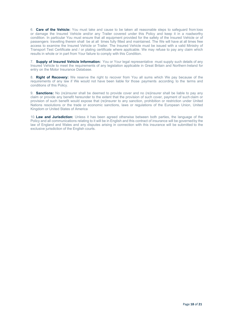6. **Care of the Vehicle:** You must take and cause to be taken all reasonable steps to safeguard from loss or damage the Insured Vehicle and/or any Trailer covered under this Policy and keep it in a roadworthy condition. In particular You must ensure that all equipment provided for the safety of the Insured Vehicle or of passengers travelling therein shall be at all times fully fitted and maintained. The We will have at all times free access to examine the Insured Vehicle or Trailer. The Insured Vehicle must be issued with a valid Ministry of Transport Test Certificate and / or plating certificate where applicable. We may refuse to pay any claim which results in whole or in part from Your failure to comply with this Condition.

7. **Supply of Insured Vehicle Information:** You or Your legal representative must supply such details of any Insured Vehicle to meet the requirements of any legislation applicable in Great Britain and Northern Ireland for entry on the Motor Insurance Database.

8. **Right of Recovery:** We reserve the right to recover from You all sums which We pay because of the requirements of any law if We would not have been liable for those payments according to the terms and conditions of this Policy.

9. **Sanctions:** No (re)insurer shall be deemed to provide cover and no (re)insurer shall be liable to pay any claim or provide any benefit hereunder to the extent that the provision of such cover, payment of such claim or provision of such benefit would expose that (re)insurer to any sanction, prohibition or restriction under United Nations resolutions or the trade or economic sanctions, laws or regulations of the European Union, United Kingdom or United States of America

10. **Law and Jurisdiction:** Unless it has been agreed otherwise between both parties, the language of the Policy and all communications relating to it will be in English and this contract of insurance will be governedby the law of England and Wales and any disputes arising in connection with this insurance will be submitted to the exclusive jurisdiction of the English courts.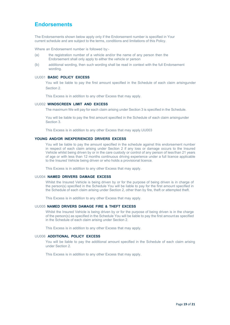### **Endorsements**

The Endorsements shown below apply only if the Endorsement number is specified in Your current schedule and are subject to the terms, conditions and limitations of this Policy.

Where an Endorsement number is followed by:-

- (a) the registration number of a vehicle and/or the name of any person then the Endorsement shall only apply to either the vehicle or person
- (b) additional wording, then such wording shall be read in context with the full Endorsement wording.

### UU001 **BASIC POLICY EXCESS**

You will be liable to pay the first amount specified in the Schedule of each claim arisingunder Section 2.

This Excess is in addition to any other Excess that may apply.

### UU002 **WINDSCREEN LIMIT AND EXCESS**

The maximum We will pay for each claim arising under Section 3 is specified in the Schedule.

You will be liable to pay the first amount specified in the Schedule of each claim arisingunder Section 3.

This Excess is in addition to any other Excess that may apply.UU003

### **YOUNG AND/OR INEXPERIENCED DRIVERS EXCESS**

You will be liable to pay the amount specified in the schedule against this endorsement number in respect of each claim arising under Section 2 if any loss or damage occurs to the Insured Vehicle whilst being driven by or in the care custody or control of any person of less than 21 years of age or with less than 12 months continuous driving experience under a full licence applicable to the Insured Vehicle being driven or who holds a provisional licence.

This Excess is in addition to any other Excess that may apply.

#### UU004 **NAMED DRIVERS DAMAGE EXCESS**

Whilst the Insured Vehicle is being driven by or for the purpose of being driven is in charge of the person(s) specified in the Schedule You will be liable to pay for the first amount specified in the Schedule of each claim arising under Section 2, other than by fire, theft or attempted theft.

This Excess is in addition to any other Excess that may apply.

### UU005 **NAMED DRIVERS DAMAGE FIRE & THEFT EXCESS**

Whilst the Insured Vehicle is being driven by or for the purpose of being driven is in the charge of the person(s) as specified in the Schedule You will be liable to pay the first amountas specified in the Schedule of each claim arising under Section 2.

This Excess is in addition to any other Excess that may apply.

### UU006 **ADDITIONAL POLICY EXCESS**

You will be liable to pay the additional amount specified in the Schedule of each claim arising under Section 2.

This Excess is in addition to any other Excess that may apply.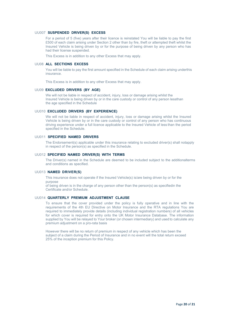### UU007 **SUSPENDED DRIVER(S) EXCESS**

For a period of 5 (five) years after their licence is reinstated You will be liable to pay the first £500 of each claim arising under Section 2 other than by fire, theft or attempted theft whilst the Insured Vehicle is being driven by or for the purpose of being driven by any person who has had their license suspended.

This Excess is in addition to any other Excess that may apply.

### UU08 **ALL SECTIONS EXCESS**

You will be liable to pay the first amount specified in the Schedule of each claim arising underthis insurance.

This Excess is in addition to any other Excess that may apply.

#### UU09 **EXCLUDED DRIVERS (BY AGE)**

We will not be liable in respect of accident, injury, loss or damage arising whilst the Insured Vehicle is being driven by or in the care custody or control of any person lessthan the age specified in the Schedule

### UU010 **EXCLUDED DRIVERS (BY EXPERIENCE)**

We will not be liable in respect of accident, injury, loss or damage arising whilst the Insured Vehicle is being driven by or in the care custody or control of any person who has continuous driving experience under a full licence applicable to the Insured Vehicle of less than the period specified in the Schedule.

### UU011 **SPECIFIED NAMED DRIVERS**

The Endorsement(s) applicable under this insurance relating to excluded driver(s) shall notapply in respect of the person(s) as specified in the Schedule.

#### UU012 **SPECIFIED NAMED DRIVER(S) WITH TERMS**

The Driver(s) named in the Schedule are deemed to be included subject to the additionalterms and conditions as specified.

#### UU013 **NAMED DRIVER(S)**

This insurance does not operate if the Insured Vehicle(s) is/are being driven by or for the purpose

of being driven is in the charge of any person other than the person(s) as specifiedin the Certificate and/or Schedule.

### UU014 **QUARTERLY PREMIUM ADJUSTMENT CLAUSE**

To ensure that the cover provided under the policy is fully operative and in line with the requirements of the 4th EU Directive on Motor Insurance and the RTA regulations You are required to immediately provide details (including individual registration numbers) of all vehicles for which cover is required for entry onto the UK Motor Insurance Database. The information supplied by You will be relayed to Your broker (or chosen intermediary) and used to calculate any premium adjustment on a pro-rata basis

However there will be no return of premium in respect of any vehicle which has been the subject of a claim during the Period of Insurance and in no event will the total return exceed 25% of the inception premium for this Policy.